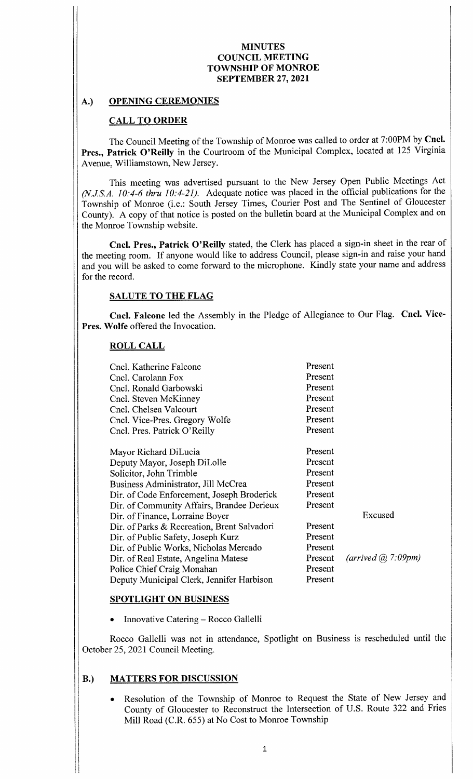## A.) OPENING CEREMONIES

## CALL TO ORDER

The Council Meeting of the Township of Monroe was called to order at 7: 00PM by Cncl. Pres., Patrick O'Reilly in the Courtroom of the Municipal Complex, located at 125 Virginia Avenue, Williamstown, New Jersey.

This meeting was advertised pursuant to the New Jersey Open Public Meetings Act  $(N.J.S.A. 10: 4-6$  thru  $10: 4-21$ ). Adequate notice was placed in the official publications for the Township of Monroe (i.e.: South Jersey Times, Courier Post and The Sentinel of Gloucester County). A copy of that notice is posted on the bulletin board at the Municipal Complex and on the Monroe Township website.

Cncl. Pres., Patrick O'Reilly stated, the Clerk has placed a sign-in sheet in the rear of the meeting room. If anyone would like to address Council, please sign-in and raise your hand and you will be asked to come forward to the microphone. Kindly state your name and address for the record.

#### SALUTE TO THE FLAG

Cncl. Falcone led the Assembly in the Pledge of Allegiance to Our Flag. Cncl. Vice-Pres. Wolfe offered the Invocation.

## ROLL CALL

| Cncl. Katherine Falcone<br>Cncl. Carolann Fox<br>Cncl. Ronald Garbowski<br>Cncl. Steven McKinney | Present<br>Present<br>Present<br>Present |                               |
|--------------------------------------------------------------------------------------------------|------------------------------------------|-------------------------------|
| Cncl. Chelsea Valcourt                                                                           | Present                                  |                               |
| Cncl. Vice-Pres. Gregory Wolfe                                                                   | Present                                  |                               |
| Cncl. Pres. Patrick O'Reilly                                                                     | Present                                  |                               |
| Mayor Richard DiLucia                                                                            | Present                                  |                               |
| Deputy Mayor, Joseph DiLolle                                                                     | Present                                  |                               |
| Solicitor, John Trimble                                                                          | Present                                  |                               |
| Business Administrator, Jill McCrea                                                              | Present                                  |                               |
| Dir. of Code Enforcement, Joseph Broderick                                                       | Present                                  |                               |
| Dir. of Community Affairs, Brandee Derieux                                                       | Present                                  |                               |
| Dir. of Finance, Lorraine Boyer                                                                  |                                          | Excused                       |
| Dir. of Parks & Recreation, Brent Salvadori                                                      | Present                                  |                               |
| Dir. of Public Safety, Joseph Kurz                                                               | Present                                  |                               |
| Dir. of Public Works, Nicholas Mercado                                                           | Present                                  |                               |
| Dir. of Real Estate, Angelina Matese                                                             | Present                                  | $(arrived$ $\omega$ , 7:09pm) |
| Police Chief Craig Monahan                                                                       | Present                                  |                               |
| Deputy Municipal Clerk, Jennifer Harbison                                                        | Present                                  |                               |

#### SPOTLIGHT ON BUSINESS

Innovative Catering— Rocco Gallelli

Rocco Gallelli was not in attendance, Spotlight on Business is rescheduled until the October 25, 2021 Council Meeting.

# B.) MATTERS FOR DISCUSSION

Resolution of the Township of Monroe to Request the State of New Jersey and County of Gloucester to Reconstruct the Intersection of U. S. Route 322 and Fries Mill Road (C.R. 655) at No Cost to Monroe Township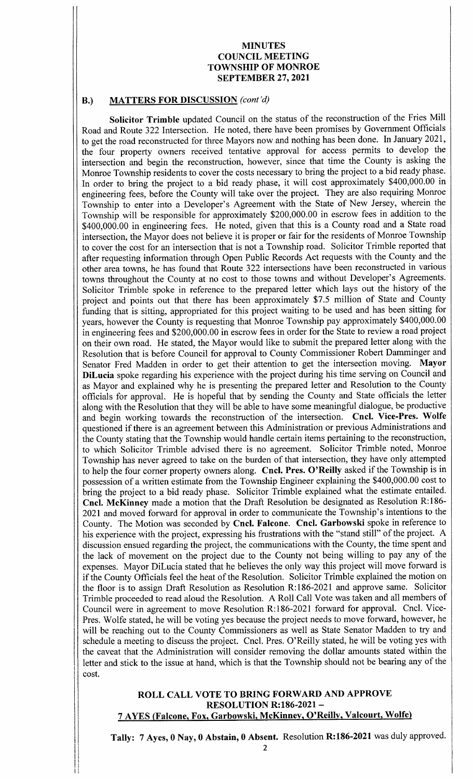## B.) MATTERS FOR DISCUSSION (cont'd)

Solicitor Trimble updated Council on the status of the reconstruction of the Fries Mill Road and Route 322 Intersection. He noted, there have been promises by Government Officials to get the road reconstructed for three Mayors now and nothing has been done. In January 2021, the four property owners received tentative approval for access permits to develop the intersection and begin the reconstruction, however, since that time the County is asking the Monroe Township residents to cover the costs necessary to bring the project to a bid ready phase. In order to bring the project to a bid ready phase, it will cost approximately \$400,000.00 in engineering fees, before the County will take over the project. They are also requiring Monroe Township to enter into a Developer's Agreement with the State of New Jersey, wherein the Township will be responsible for approximately \$200,000.00 in escrow fees in addition to the 400, 000. 00 in engineering fees. He noted, given that this is a County road and <sup>a</sup> State road intersection, the Mayor does not believe it is proper or fair for the residents of Monroe Township to cover the cost for an intersection that is not <sup>a</sup> Township road. Solicitor Trimble reported that after requesting information through Open Public Records Act requests with the County and the other area towns, he has found that Route 322 intersections have been reconstructed in various towns throughout the County at no cost to those towns and without Developer's Agreements. Solicitor Trimble spoke in reference to the prepared letter which lays out the history of the project and points out that there has been approximately \$7.5 million of State and County funding that is sitting, appropriated for this project waiting to be used and has been sitting for years, however the County is requesting that Monroe Township pay approximately \$400,000.00 in engineering fees and \$200,000.00 in escrow fees in order for the State to review a road project on their own road. He stated, the Mayor would like to submit the prepared letter along with the Resolution that is before Council for approval to County Commissioner Robert Damminger and Senator Fred Madden in order to get their attention to get the intersection moving. Mayor DiLucia spoke regarding his experience with the project during his time serving on Council and as Mayor and explained why he is presenting the prepared letter and Resolution to the County officials for approval. He is hopeful that by sending the County and State officials the letter along with the Resolution that they will be able to have some meaningful dialogue, be productive and begin working towards the reconstruction of the intersection. Cncl. Vice-Pres. Wolfe questioned if there is an agreement between this Administration or previous Administrations and the County stating that the Township would handle certain items pertaining to the reconstruction, to which Solicitor Trimble advised there is no agreement. Solicitor Trimble noted, Monroe Township has never agreed to take on the burden of that intersection, they have only attempted to help the four corner property owners along. Cncl. Pres. O'Reilly asked if the Township is in possession of a written estimate from the Township Engineer explaining the \$400,000.00 cost to bring the project to <sup>a</sup> bid ready phase. Solicitor Trimble explained what the estimate entailed. Cncl. McKinney made a motion that the Draft Resolution be designated as Resolution R: 186- 2021 and moved forward for approval in order to communicate the Township's intentions to the County. The Motion was seconded by Cncl. Falcone. Cncl. Garbowski spoke in reference to his experience with the project, expressing his frustrations with the "stand still" of the project. A discussion ensued regarding the project, the communications with the County, the time spent and the lack of movement on the project due to the County not being willing to pay any of the expenses. Mayor DiLucia stated that he believes the only way this project will move forward is if the County Officials feel the heat of the Resolution. Solicitor Trimble explained the motion on the floor is to assign Draft Resolution as Resolution R:186-2021 and approve same. Solicitor Trimble proceeded to read aloud the Resolution. A Roll Call Vote was taken and all members of Council were in agreement to move Resolution R:186-2021 forward for approval. Cncl. Vice-Pres. Wolfe stated, he will be voting yes because the project needs to move forward, however, he will be reaching out to the County Commissioners as well as State Senator Madden to try and schedule a meeting to discuss the project. Cncl. Pres. O' Reilly stated, he will be voting yes with the caveat that the Administration will consider removing the dollar amounts stated within the letter and stick to the issue at hand, which is that the Township should not be bearing any of the cost.

## ROLL CALL VOTE TO BRING FORWARD AND APPROVE **RESOLUTION R:186-2021 -**7 AYES (Falcone, Fox, Garbowski, McKinney, O' Reilly, Valcourt, Wolfe)

i

I

II

Tally: 7 Ayes, 0 Nay, 0 Abstain, 0 Absent. Resolution R:186-2021 was duly approved.

I

ive a construction of the construction of the construction of the construction of the construction of the construction of the construction of the construction of the construction of the construction of the construction of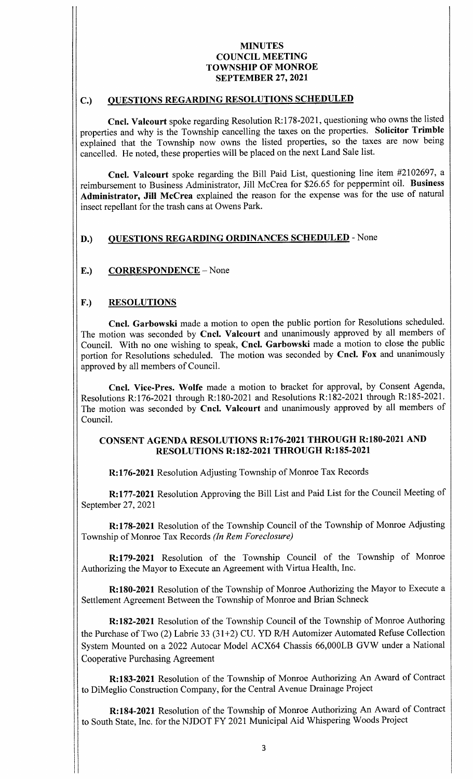# C.) QUESTIONS REGARDING RESOLUTIONS SCHEDULED

Cncl. Valcourt spoke regarding Resolution R:178-2021, questioning who owns the listed properties and why is the Township cancelling the taxes on the properties. Solicitor Trimble explained that the Township now owns the listed properties, so the taxes are now being cancelled. He noted, these properties will be placed on the next Land Sale list.

Cncl. Valcourt spoke regarding the Bill Paid List, questioning line item #2102697, a reimbursement to Business Administrator, Jill McCrea for \$26. <sup>65</sup> for peppermint oil. Business Administrator, Jill McCrea explained the reason for the expense was for the use of natural insect repellant for the trash cans at Owens Park.

# D.) QUESTIONS REGARDING ORDINANCES SCHEDULED - None

## E.) CORRESPONDENCE – None

## F.) RESOLUTIONS

Cncl. Garbowski made a motion to open the public portion for Resolutions scheduled. The motion was seconded by Cncl. Valcourt and unanimously approved by all members of Council. With no one wishing to speak, Cncl. Garbowski made a motion to close the public portion for Resolutions scheduled. The motion was seconded by Cncl. Fox and unanimously approved by all members of Council.

Cncl. Vice-Pres. Wolfe made a motion to bracket for approval, by Consent Agenda, Resolutions R:176-2021 through R:180-2021 and Resolutions R:182-2021 through R:185-2021. The motion was seconded by Cncl. Valcourt and unanimously approved by all members of Council.

# CONSENT AGENDA RESOLUTIONS R:176-2021 THROUGH R:180-2021 AND **RESOLUTIONS R:182-2021 THROUGH R:185-2021**

R: 176-2021 Resolution Adjusting Township of Monroe Tax Records

R: 177- 2021 Resolution Approving the Bill List and Paid List for the Council Meeting of September 27, 2021

R: 178-2021 Resolution of the Township Council of the Township of Monroe Adjusting Township of Monroe Tax Records (In Rem Foreclosure)

R: 179-2021 Resolution of the Township Council of the Township of Monroe Authorizing the Mayor to Execute an Agreement with Virtua Health, Inc.

R: 180-2021 Resolution of the Township of Monroe Authorizing the Mayor to Execute a Settlement Agreement Between the Township of Monroe and Brian Schneck

R: 182-2021 Resolution of the Township Council of the Township of Monroe Authoring the Purchase of Two (2) Labrie 33 (31+2) CU. YD R/H Automizer Automated Refuse Collection System Mounted on a 2022 Autocar Model ACX64 Chassis 66, 000LB GVW under a National Cooperative Purchasing Agreement

R: 183- 2021 Resolution of the Township of Monroe Authorizing An Award of Contract to DiMeglio Construction Company, for the Central Avenue Drainage Project

R: 184- 2021 Resolution of the Township of Monroe Authorizing An Award of Contract to South State, Inc. for the NJDOT FY 2021 Municipal Aid Whispering Woods Project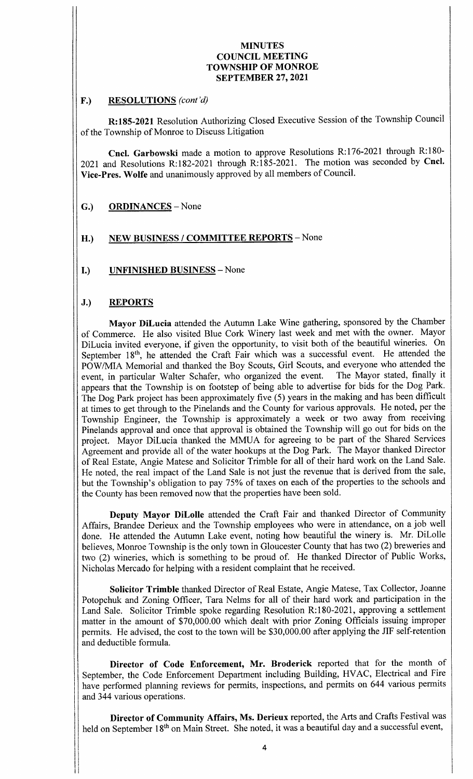## F.) RESOLUTIONS (cont'd)

R: 185- 2021 Resolution Authorizing Closed Executive Session of the Township Council of the Township of Monroe to Discuss Litigation

Cncl. Garbowski made a motion to approve Resolutions R:176-2021 through R:180-2021 and Resolutions R:182-2021 through R:185-2021. The motion was seconded by Cncl. Vice-Pres. Wolfe and unanimously approved by all members of Council.

- G.) ORDINANCES None
- H.) NEW BUSINESS / COMMITTEE REPORTS None
- I.) UNFINISHED BUSINESS— None

# J.) REPORTS

I1

Mayor DiLucia attended the Autumn Lake Wine gathering, sponsored by the Chamber of Commerce. He also visited Blue Cork Winery last week and met with the owner. Mayor DiLucia invited everyone, if given the opportunity, to visit both of the beautiful wineries. On September 18<sup>th</sup>, he attended the Craft Fair which was a successful event. He attended the POW/MIA Memorial and thanked the Boy Scouts, Girl Scouts, and everyone who attended the event. in particular Walter Schafer. who organized the event. The Mayor stated, finally it event, in particular Walter Schafer, who organized the event. appears that the Township is on footstep of being able to advertise for bids for the Dog Park. The Dog Park project has been approximately five (5) years in the making and has been difficult at times to get through to the Pinelands and the County for various approvals. He noted, per the Township Engineer, the Township is approximately <sup>a</sup> week or two away from receiving Pinelands approval and once that approval is obtained the Township will go out for bids on the project. Mayor DiLucia thanked the MMUA for agreeing to be part of the Shared Services Agreement and provide all of the water hookups at the Dog Park. The Mayor thanked Director of Real Estate, Angie Matese and Solicitor Trimble for all of their hard work on the Land Sale. He noted, the real impact of the Land Sale is not just the revenue that is derived from the sale, but the Township's obligation to pay 75% of taxes on each of the properties to the schools and the County has been removed now that the properties have been sold.

Deputy Mayor DiLolle attended the Craft Fair and thanked Director of Community Affairs, Brandee Derieux and the Township employees who were in attendance, on a job well done. He attended the Autumn Lake event, noting how beautiful the winery is. Mr. DiLolle believes, Monroe Township is the only town in Gloucester County that has two (2) breweries and two (2) wineries, which is something to be proud of. He thanked Director of Public Works, Nicholas Mercado for helping with a resident complaint that he received.

Solicitor Trimble thanked Director of Real Estate, Angie Matese, Tax Collector, Joanne Potopchuk and Zoning Officer, Tara Nelms for all of their hard work and participation in the Land Sale. Solicitor Trimble spoke regarding Resolution R:180-2021, approving a settlement matter in the amount of \$70,000.00 which dealt with prior Zoning Officials issuing improper permits. He advised, the cost to the town will be \$30,000.00 after applying the JIF self-retention and deductible formula.

Director of Code Enforcement, Mr. Broderick reported that for the month of September, the Code Enforcement Department including Building, HVAC, Electrical and Fire have performed planning reviews for permits, inspections, and permits on 644 various permits and 344 various operations.

Director of Community Affairs, Ms. Derieux reported, the Arts and Crafts Festival was held on September 18<sup>th</sup> on Main Street. She noted, it was a beautiful day and a successful event,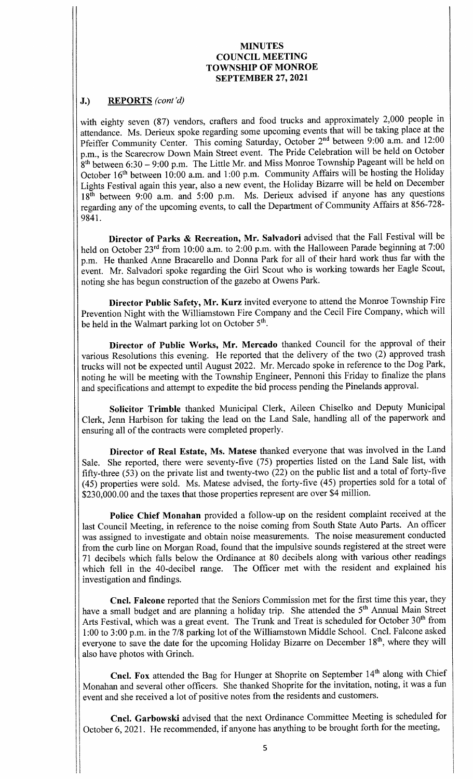## J.) REPORTS (cont'd)

with eighty seven (87) vendors, crafters and food trucks and approximately 2,000 people in attendance. Ms. Derieux spoke regarding some upcoming events that will be taking place at the Pfeiffer Community Center. This coming Saturday, October 2<sup>nd</sup> between 9:00 a.m. and 12:00 p.m., is the Scarecrow Down Main Street event. The Pride Celebration will be held on October  $8<sup>th</sup>$  between 6:30 – 9:00 p.m. The Little Mr. and Miss Monroe Township Pageant will be held on October  $16<sup>th</sup>$  between  $10:00$  a.m. and  $1:00$  p.m. Community Affairs will be hosting the Holiday Lights Festival again this year, also <sup>a</sup> new event, the Holiday Bizarre will be held on December 18<sup>th</sup> between 9:00 a.m. and 5:00 p.m. Ms. Derieux advised if anyone has any questions regarding any of the upcoming events, to call the Department of Community Affairs at 856-728-9841.

Director of Parks & Recreation, Mr. Salvadori advised that the Fall Festival will be held on October 23<sup>rd</sup> from 10:00 a.m. to 2:00 p.m. with the Halloween Parade beginning at 7:00 p.m. He thanked Anne Bracarello and Donna Park for all of their hard work thus far with the event. Mr. Salvadori spoke regarding the Girl Scout who is working towards her Eagle Scout, noting she has begun construction of the gazebo at Owens Park.

Director Public Safety, Mr. Kurz invited everyone to attend the Monroe Township Fire Prevention Night with the Williamstown Fire Company and the Cecil Fire Company, which will be held in the Walmart parking lot on October 5<sup>th</sup>.

Director of Public Works, Mr. Mercado thanked Council for the approval of their various Resolutions this evening. He reported that the delivery of the two  $(2)$  approved trash trucks will not be expected until August 2022. Mr. Mercado spoke in reference to the Dog Park, noting he will be meeting with the Township Engineer, Pennoni this Friday to finalize the plans and specifications and attempt to expedite the bid process pending the Pinelands approval.

Solicitor Trimble thanked Municipal Clerk, Aileen Chiselko and Deputy Municipal Clerk, Jenn Harbison for taking the lead on the Land Sale, handling all of the paperwork and ensuring all of the contracts were completed properly.

Director of Real Estate, Ms. Matese thanked everyone that was involved in the Land Sale. She reported, there were seventy-five (75) properties listed on the Land Sale list, with fifty-three  $(53)$  on the private list and twenty-two  $(22)$  on the public list and a total of forty-five 45) properties were sold. Ms. Matese advised, the forty-five (45) properties sold for <sup>a</sup> total of \$230,000.00 and the taxes that those properties represent are over \$4 million.

Police Chief Monahan provided a follow-up on the resident complaint received at the last Council Meeting, in reference to the noise coming from South State Auto Parts. An officer was assigned to investigate and obtain noise measurements. The noise measurement conducted from the curb line on Morgan Road, found that the impulsive sounds registered at the street were 71 decibels which falls below the Ordinance at 80 decibels along with various other readings which fell in the 40-decibel range. The Officer met with the resident and explained his investigation and findings.

Cncl. Falcone reported that the Seniors Commission met for the first time this year, they have a small budget and are planning a holiday trip. She attended the 5<sup>th</sup> Annual Main Street Arts Festival, which was a great event. The Trunk and Treat is scheduled for October 30<sup>th</sup> from 1:00 to 3:00 p.m. in the 7/8 parking lot of the Williamstown Middle School. Cncl. Falcone asked everyone to save the date for the upcoming Holiday Bizarre on December 18<sup>th</sup>, where they will also have photos with Grinch.

Cncl. Fox attended the Bag for Hunger at Shoprite on September 14<sup>th</sup> along with Chief Monahan and several other officers. She thanked Shoprite for the invitation, noting, it was a fun event and she received <sup>a</sup> lot of positive notes from the residents and customers.

Cncl. Garbowski advised that the next Ordinance Committee Meeting is scheduled for October 6, 2021. He recommended, if anyone has anything to be brought forth for the meeting,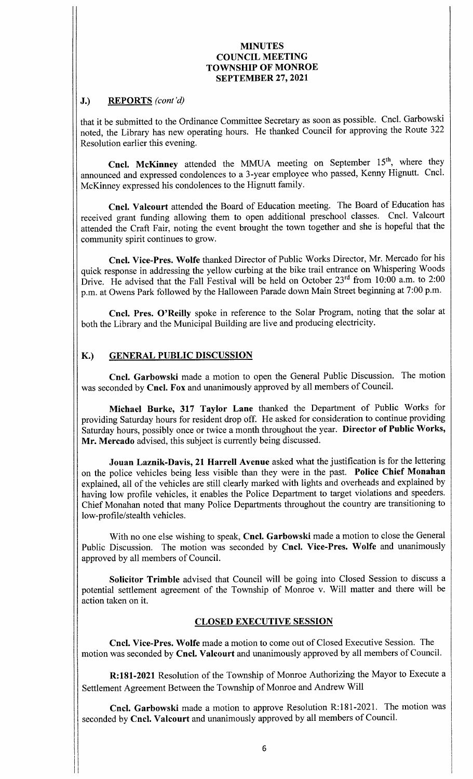# J.) REPORTS (cont'd)

that it be submitted to the Ordinance Committee Secretary as soon as possible. Cncl. Garbowski noted, the Library has new operating hours. He thanked Council for approving the Route 322 Resolution earlier this evening.

Cncl. McKinney attended the MMUA meeting on September 15<sup>th</sup>, where they announced and expressed condolences to <sup>a</sup> 3- year employee who passed, Kenny Hignutt. Cncl. McKinney expressed his condolences to the Hignutt family.

Cncl. Valcourt attended the Board of Education meeting. The Board of Education has received grant funding allowing them to open additional preschool classes. Cncl. Valcourt attended the Craft Fair, noting the event brought the town together and she is hopeful that the community spirit continues to grow.

Cncl. Vice-Pres. Wolfe thanked Director of Public Works Director, Mr. Mercado for his quick response in addressing the yellow curbing at the bike trail entrance on Whispering Woods Drive. He advised that the Fall Festival will be held on October  $23<sup>rd</sup>$  from 10:00 a.m. to 2:00 p.m. at Owens Park followed by the Halloween Parade down Main Street beginning at 7:00 p.m.

Cncl. Pres. O'Reilly spoke in reference to the Solar Program, noting that the solar at both the Library and the Municipal Building are live and producing electricity.

# K.) GENERAL PUBLIC DISCUSSION

Cncl. Garbowski made <sup>a</sup> motion to open the General Public Discussion. The motion was seconded by Cncl. Fox and unanimously approved by all members of Council.

Michael Burke, 317 Taylor Lane thanked the Department of Public Works for providing Saturday hours for resident drop off. He asked for consideration to continue providing Saturday hours, possibly once or twice a month throughout the year. Director of Public Works, Mr. Mercado advised, this subject is currently being discussed.

Jouan Laznik-Davis, 21 Harrell Avenue asked what the justification is for the lettering on the police vehicles being less visible than they were in the past. Police Chief Monahan explained, all of the vehicles are still clearly marked with lights and overheads and explained by having low profile vehicles, it enables the Police Department to target violations and speeders. Chief Monahan noted that many Police Departments throughout the country are transitioning to low-profile/stealth vehicles.

With no one else wishing to speak, Cncl. Garbowski made a motion to close the General Public Discussion. The motion was seconded by Cncl. Vice-Pres. Wolfe and unanimously approved by all members of Council.

Solicitor Trimble advised that Council will be going into Closed Session to discuss a potential settlement agreement of the Township of Monroe v. Will matter and there will be action taken on it.

## CLOSED EXECUTIVE SESSION

Cncl. Vice- Pres. Wolfe made <sup>a</sup> motion to come out of Closed Executive Session. The motion was seconded by Cncl. Valcourt and unanimously approved by all members of Council.

R:181-2021 Resolution of the Township of Monroe Authorizing the Mayor to Execute a Settlement Agreement Between the Township of Monroe and Andrew Will

Cncl. Garbowski made a motion to approve Resolution R:181-2021. The motion was seconded by Cncl. Valcourt and unanimously approved by all members of Council.